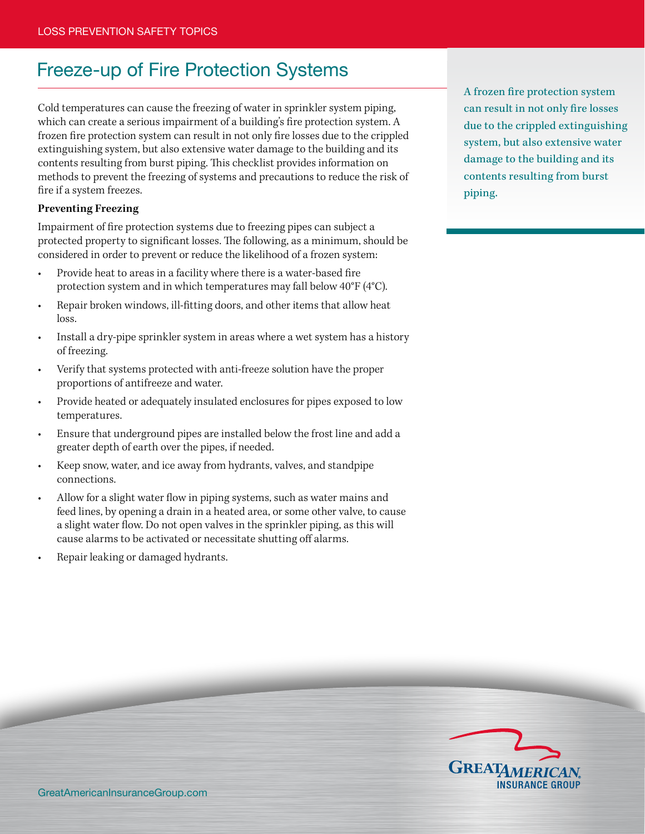## Freeze-up of Fire Protection Systems

Cold temperatures can cause the freezing of water in sprinkler system piping, which can create a serious impairment of a building's fire protection system. A frozen fire protection system can result in not only fire losses due to the crippled extinguishing system, but also extensive water damage to the building and its contents resulting from burst piping. This checklist provides information on methods to prevent the freezing of systems and precautions to reduce the risk of fire if a system freezes.

## **Preventing Freezing**

Impairment of fire protection systems due to freezing pipes can subject a protected property to significant losses. The following, as a minimum, should be considered in order to prevent or reduce the likelihood of a frozen system:

- Provide heat to areas in a facility where there is a water-based fire protection system and in which temperatures may fall below 40°F (4°C).
- Repair broken windows, ill-fitting doors, and other items that allow heat loss.
- Install a dry-pipe sprinkler system in areas where a wet system has a history of freezing.
- Verify that systems protected with anti-freeze solution have the proper proportions of antifreeze and water.
- Provide heated or adequately insulated enclosures for pipes exposed to low temperatures.
- Ensure that underground pipes are installed below the frost line and add a greater depth of earth over the pipes, if needed.
- Keep snow, water, and ice away from hydrants, valves, and standpipe connections.
- Allow for a slight water flow in piping systems, such as water mains and feed lines, by opening a drain in a heated area, or some other valve, to cause a slight water flow. Do not open valves in the sprinkler piping, as this will cause alarms to be activated or necessitate shutting off alarms.
- Repair leaking or damaged hydrants.

A frozen fire protection system can result in not only fire losses due to the crippled extinguishing system, but also extensive water damage to the building and its contents resulting from burst piping.